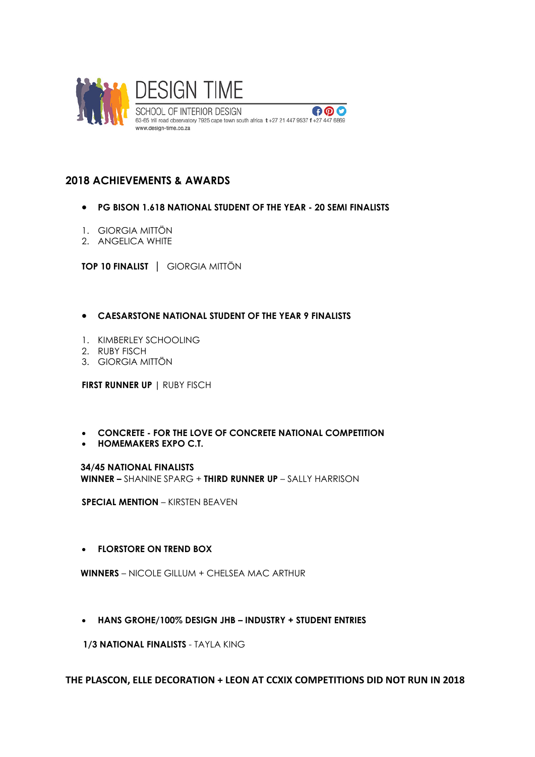

# **2018 ACHIEVEMENTS & AWARDS**

• **PG BISON 1.618 NATIONAL STUDENT OF THE YEAR - 20 SEMI FINALISTS** 

 $000$ 

- 1. GIORGIA MITTÖN
- 2. ANGELICA WHITE

**TOP 10 FINALIST** | GIORGIA MITTÖN

- **CAESARSTONE NATIONAL STUDENT OF THE YEAR 9 FINALISTS**
- 1. KIMBERLEY SCHOOLING
- 2. RUBY FISCH
- 3. GIORGIA MITTÖN

**FIRST RUNNER UP |** RUBY FISCH

- **CONCRETE - FOR THE LOVE OF CONCRETE NATIONAL COMPETITION**
- **HOMEMAKERS EXPO C.T.**

 **34/45 NATIONAL FINALISTS WINNER –** SHANINE SPARG + **THIRD RUNNER UP** – SALLY HARRISON

**SPECIAL MENTION** – KIRSTEN BEAVEN

• **FLORSTORE ON TREND BOX**

 **WINNERS** – NICOLE GILLUM + CHELSEA MAC ARTHUR

• **HANS GROHE/100% DESIGN JHB – INDUSTRY + STUDENT ENTRIES**

**1/3 NATIONAL FINALISTS** - TAYLA KING

# **THE PLASCON, ELLE DECORATION + LEON AT CCXIX COMPETITIONS DID NOT RUN IN 2018**